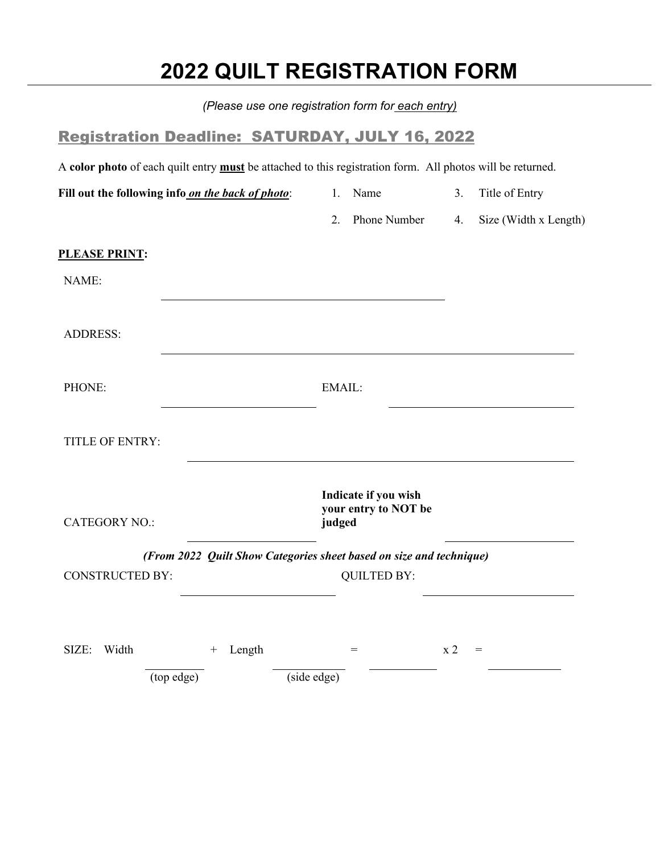## **2022 QUILT REGISTRATION FORM**

|                                                                                                                   | (Please use one registration form for each entry)                   |                             |
|-------------------------------------------------------------------------------------------------------------------|---------------------------------------------------------------------|-----------------------------|
| <b>Registration Deadline: SATURDAY, JULY 16, 2022</b>                                                             |                                                                     |                             |
| A color photo of each quilt entry <b>must</b> be attached to this registration form. All photos will be returned. |                                                                     |                             |
| Fill out the following info on the back of photo:                                                                 | 1. Name                                                             | Title of Entry<br>3.        |
|                                                                                                                   | Phone Number<br>2.                                                  | Size (Width x Length)<br>4. |
| <u>PLEASE PRINT:</u>                                                                                              |                                                                     |                             |
| NAME:                                                                                                             |                                                                     |                             |
|                                                                                                                   |                                                                     |                             |
| <b>ADDRESS:</b>                                                                                                   |                                                                     |                             |
|                                                                                                                   |                                                                     |                             |
| PHONE:                                                                                                            | EMAIL:                                                              |                             |
|                                                                                                                   |                                                                     |                             |
| TITLE OF ENTRY:                                                                                                   |                                                                     |                             |
|                                                                                                                   | Indicate if you wish                                                |                             |
| <b>CATEGORY NO.:</b>                                                                                              | your entry to NOT be<br>judged                                      |                             |
|                                                                                                                   | (From 2022 Quilt Show Categories sheet based on size and technique) |                             |
| CONSTRUCTED BY:                                                                                                   | <b>QUILTED BY:</b>                                                  |                             |
|                                                                                                                   |                                                                     |                             |
|                                                                                                                   |                                                                     |                             |
| Width<br>Length<br>SIZE:<br>$^{+}$                                                                                | $=$                                                                 | $\ge 2$<br>$=$              |
| (top edge)                                                                                                        | (side edge)                                                         |                             |